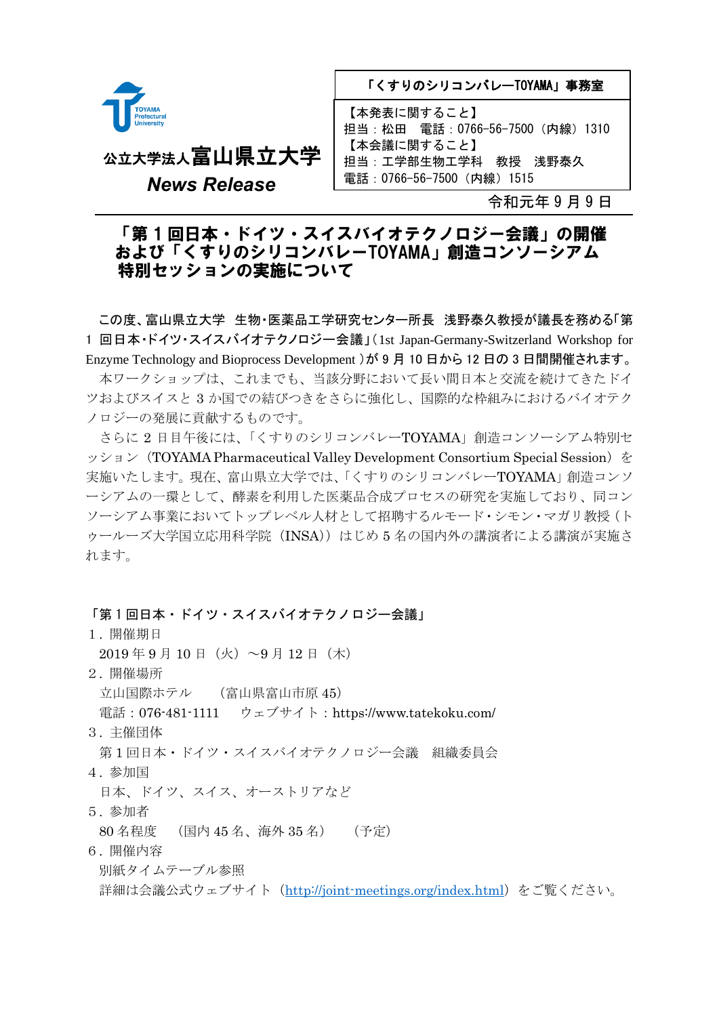

「くすりのシリコンバレーTOYAMA」事務室

【本発表に関すること】 担当:松田 電話:0766-56-7500(内線)1310 【本会議に関すること】 担当:工学部生物工学科 教授 浅野泰久 電話:0766-56-7500(内線)1515

*News Release*

公立大学法人富山県立大学

令和元年 9 月 9 日

┨

## 「第 1 回日本・ドイツ・スイスバイオテクノロジー会議」の開催 および「くすりのシリコンバレーTOYAMA」創造コンソーシアム 特別セッションの実施について

この度、富山県立大学 生物・医薬品工学研究センター所長 浅野泰久教授が議長を務める「第 1 回日本・ドイツ・スイスバイオテクノロジー会議」(1st Japan-Germany-Switzerland Workshop for Enzyme Technology and Bioprocess Development )が 9 月 10 日から 12 日の 3 日間開催されます。 本ワークショップは、これまでも、当該分野において長い間日本と交流を続けてきたドイ ツおよびスイスと 3 か国での結びつきをさらに強化し、国際的な枠組みにおけるバイオテク ノロジーの発展に貢献するものです。

さらに 2 日目午後には、「くすりのシリコンバレーTOYAMA」創造コンソーシアム特別セ ッション (TOYAMA Pharmaceutical Valley Development Consortium Special Session) を 実施いたします。現在、富山県立大学では、「くすりのシリコンバレーTOYAMA」創造コンソ ーシアムの一環として、酵素を利用した医薬品合成プロセスの研究を実施しており、同コン ソーシアム事業においてトップレベル人材として招聘するルモード・シモン・マガリ教授(ト ゥールーズ大学国立応用科学院(INSA))はじめ 5 名の国内外の講演者による講演が実施さ れます。

## 「第 1 回日本・ドイツ・スイスバイオテクノロジー会議」

- 1. 開催期日
- $2019 \ncong 9 \nparallel 10 \nparallel (\nparallel \times) \sim 9 \nparallel 12 \nparallel (\nparallel \times)$
- 2. 開催場所

立山国際ホテル (富山県富山市原 45)

電話: 076-481-1111 ウェブサイト: https://www.tatekoku.com/

3. 主催団体

第1回日本・ドイツ・スイスバイオテクノロジー会議 組織委員会

4. 参加国

日本、ドイツ、スイス、オーストリアなど

5. 参加者

80 名程度 (国内 45 名、海外 35 名) (予定)

6. 開催内容

別紙タイムテーブル参照

詳細は会議公式ウェブサイト(<http://joint-meetings.org/index.html>)をご覧ください。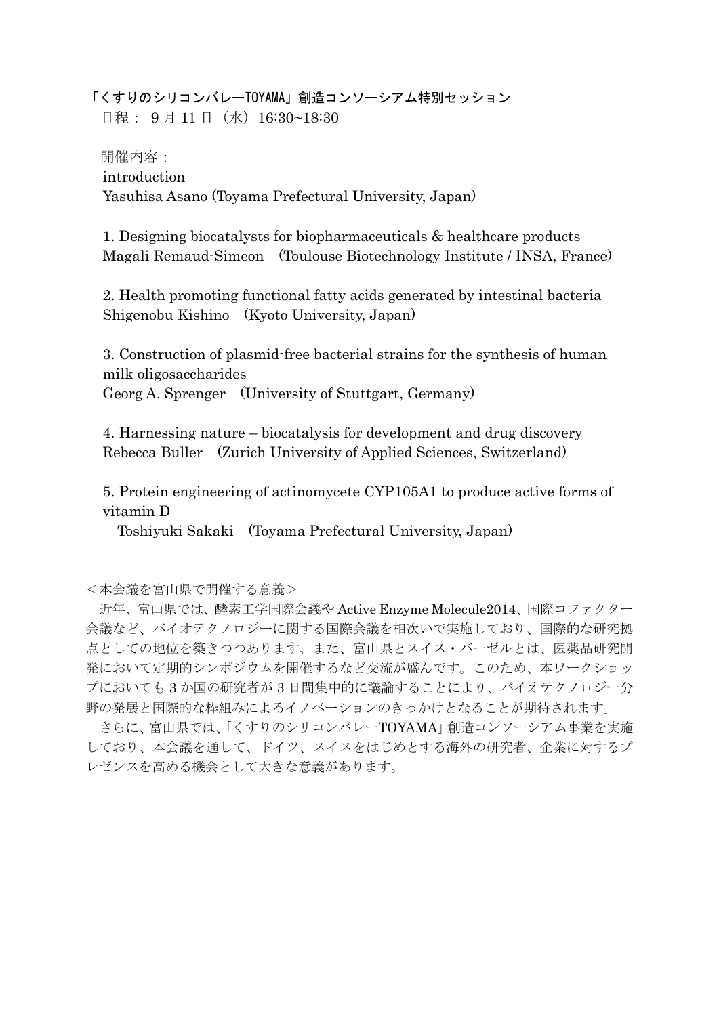「くすりのシリコンバレーTOYAMA」創造コンソーシアム特別セッション 日程: 9月11日 (水) 16:30~18:30

開催内容: introduction Yasuhisa Asano (Toyama Prefectural University, Japan)

1. Designing biocatalysts for biopharmaceuticals & healthcare products Magali Remaud-Simeon (Toulouse Biotechnology Institute / INSA, France)

2. Health promoting functional fatty acids generated by intestinal bacteria Shigenobu Kishino (Kyoto University, Japan)

3. Construction of plasmid-free bacterial strains for the synthesis of human milk oligosaccharides

Georg A. Sprenger (University of Stuttgart, Germany)

4. Harnessing nature – biocatalysis for development and drug discovery Rebecca Buller (Zurich University of Applied Sciences, Switzerland)

5. Protein engineering of actinomycete CYP105A1 to produce active forms of vitamin D

Toshiyuki Sakaki (Toyama Prefectural University, Japan)

<本会議を富山県で開催する意義>

近年、富山県では、酵素工学国際会議や Active Enzyme Molecule2014、国際コファクター 会議など、バイオテクノロジーに関する国際会議を相次いで実施しており、国際的な研究拠 点としての地位を築きつつあります。また、富山県とスイス・バーゼルとは、医薬品研究開 発において定期的シンポジウムを開催するなど交流が盛んです。このため、本ワークショッ プにおいても 3 か国の研究者が 3 日間集中的に議論することにより、バイオテクノロジー分 野の発展と国際的な枠組みによるイノベーションのきっかけとなることが期待されます。

さらに、富山県では、「くすりのシリコンバレーTOYAMA」創造コンソーシアム事業を実施 しており、本会議を通して、ドイツ、スイスをはじめとする海外の研究者、企業に対するプ レゼンスを高める機会として大きな意義があります。